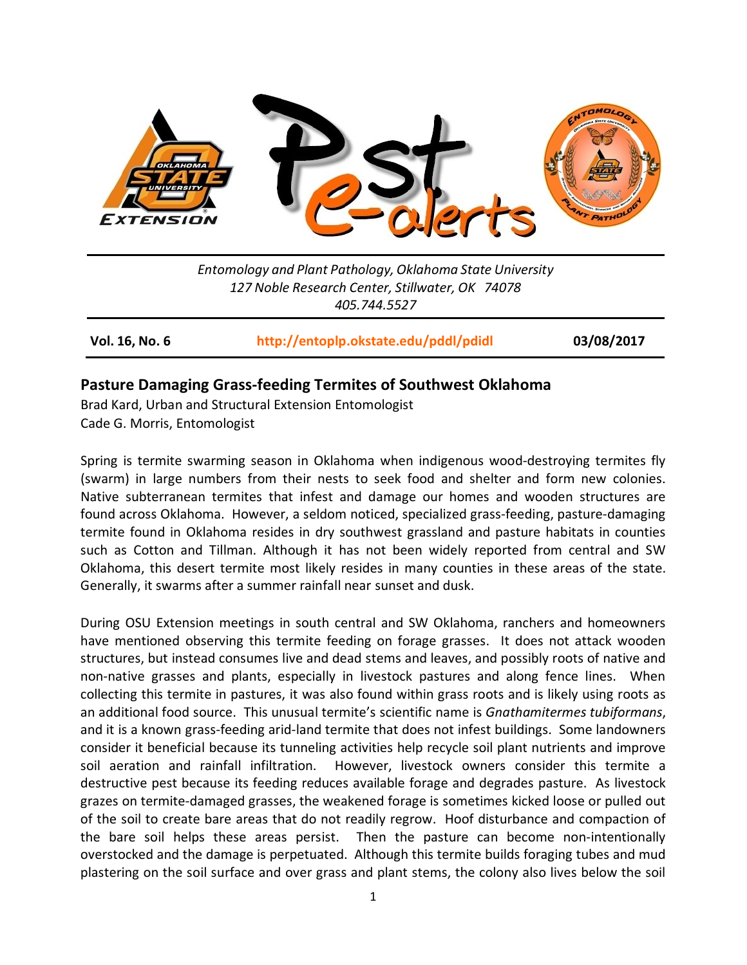

*Entomology and Plant Pathology, Oklahoma State University 127 Noble Research Center, Stillwater, OK 74078 405.744.5527*

**Vol. 16, No. 6 <http://entoplp.okstate.edu/pddl/pdidl> 03/08/2017**

## **Pasture Damaging Grass-feeding Termites of Southwest Oklahoma**

Brad Kard, Urban and Structural Extension Entomologist Cade G. Morris, Entomologist

Spring is termite swarming season in Oklahoma when indigenous wood-destroying termites fly (swarm) in large numbers from their nests to seek food and shelter and form new colonies. Native subterranean termites that infest and damage our homes and wooden structures are found across Oklahoma. However, a seldom noticed, specialized grass-feeding, pasture-damaging termite found in Oklahoma resides in dry southwest grassland and pasture habitats in counties such as Cotton and Tillman. Although it has not been widely reported from central and SW Oklahoma, this desert termite most likely resides in many counties in these areas of the state. Generally, it swarms after a summer rainfall near sunset and dusk.

During OSU Extension meetings in south central and SW Oklahoma, ranchers and homeowners have mentioned observing this termite feeding on forage grasses. It does not attack wooden structures, but instead consumes live and dead stems and leaves, and possibly roots of native and non-native grasses and plants, especially in livestock pastures and along fence lines. When collecting this termite in pastures, it was also found within grass roots and is likely using roots as an additional food source. This unusual termite's scientific name is *Gnathamitermes tubiformans*, and it is a known grass-feeding arid-land termite that does not infest buildings. Some landowners consider it beneficial because its tunneling activities help recycle soil plant nutrients and improve soil aeration and rainfall infiltration. However, livestock owners consider this termite a destructive pest because its feeding reduces available forage and degrades pasture. As livestock grazes on termite-damaged grasses, the weakened forage is sometimes kicked loose or pulled out of the soil to create bare areas that do not readily regrow. Hoof disturbance and compaction of the bare soil helps these areas persist. Then the pasture can become non-intentionally overstocked and the damage is perpetuated. Although this termite builds foraging tubes and mud plastering on the soil surface and over grass and plant stems, the colony also lives below the soil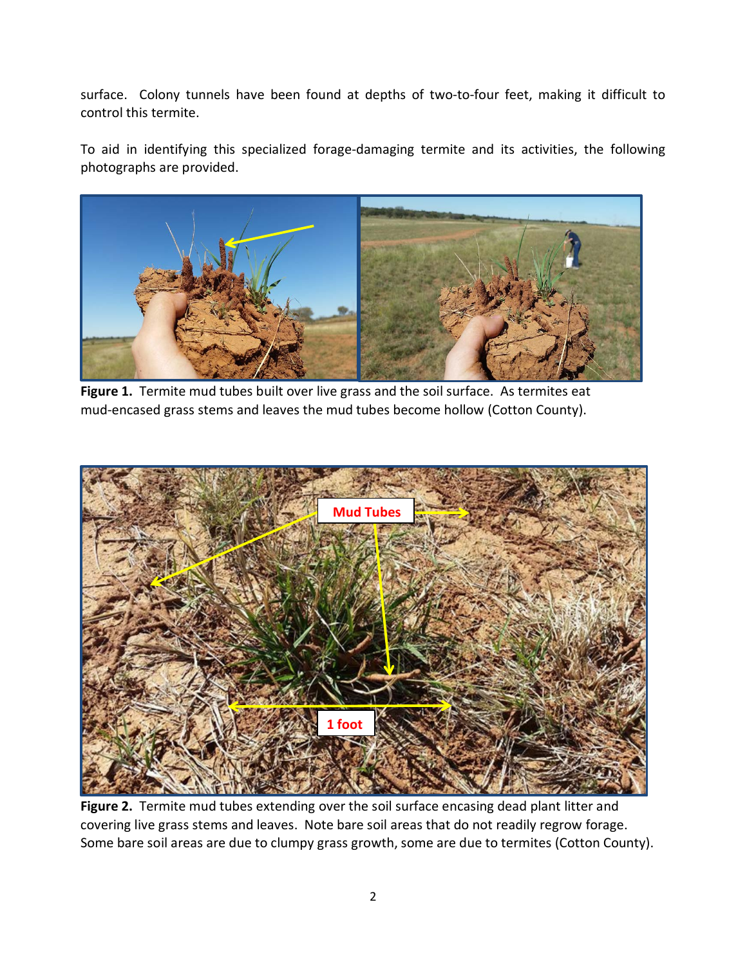surface. Colony tunnels have been found at depths of two-to-four feet, making it difficult to control this termite.

To aid in identifying this specialized forage-damaging termite and its activities, the following photographs are provided.



**Figure 1.** Termite mud tubes built over live grass and the soil surface. As termites eat mud-encased grass stems and leaves the mud tubes become hollow (Cotton County).



**Figure 2.** Termite mud tubes extending over the soil surface encasing dead plant litter and covering live grass stems and leaves. Note bare soil areas that do not readily regrow forage. Some bare soil areas are due to clumpy grass growth, some are due to termites (Cotton County).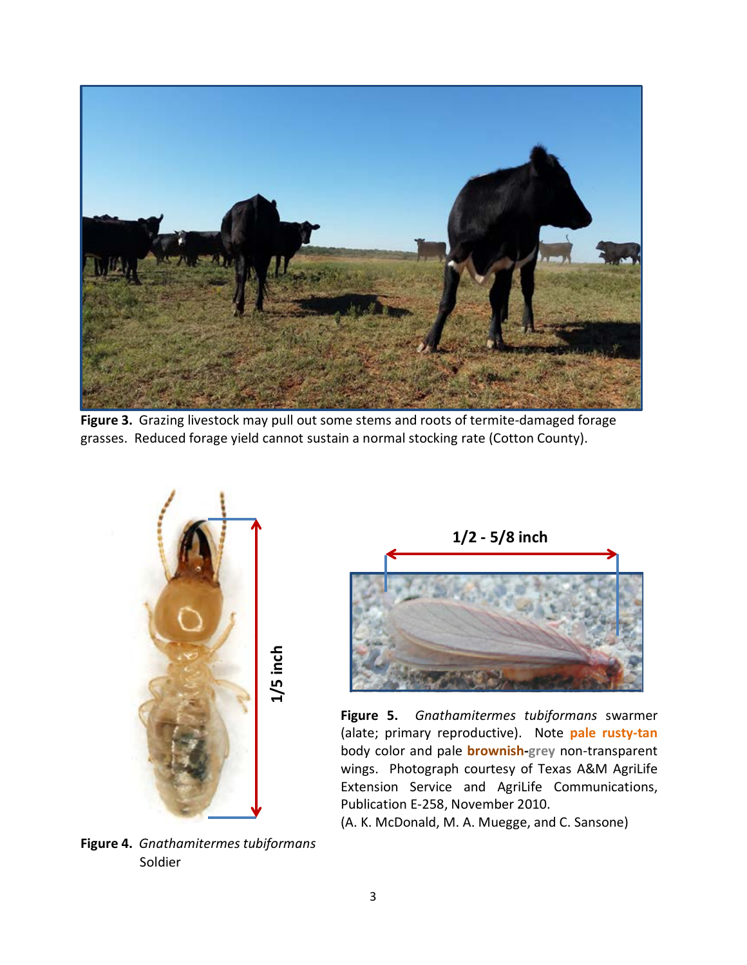

**Figure 3.** Grazing livestock may pull out some stems and roots of termite-damaged forage grasses. Reduced forage yield cannot sustain a normal stocking rate (Cotton County).



**1/2 - 5/8 inch**

**Figure 5.** *Gnathamitermes tubiformans* swarmer (alate; primary reproductive). Note **pale rusty-tan** body color and pale **brownish-grey** non-transparent wings. Photograph courtesy of Texas A&M AgriLife Extension Service and AgriLife Communications, Publication E-258, November 2010.

(A. K. McDonald, M. A. Muegge, and C. Sansone)

**Figure 4.** *Gnathamitermes tubiformans* Soldier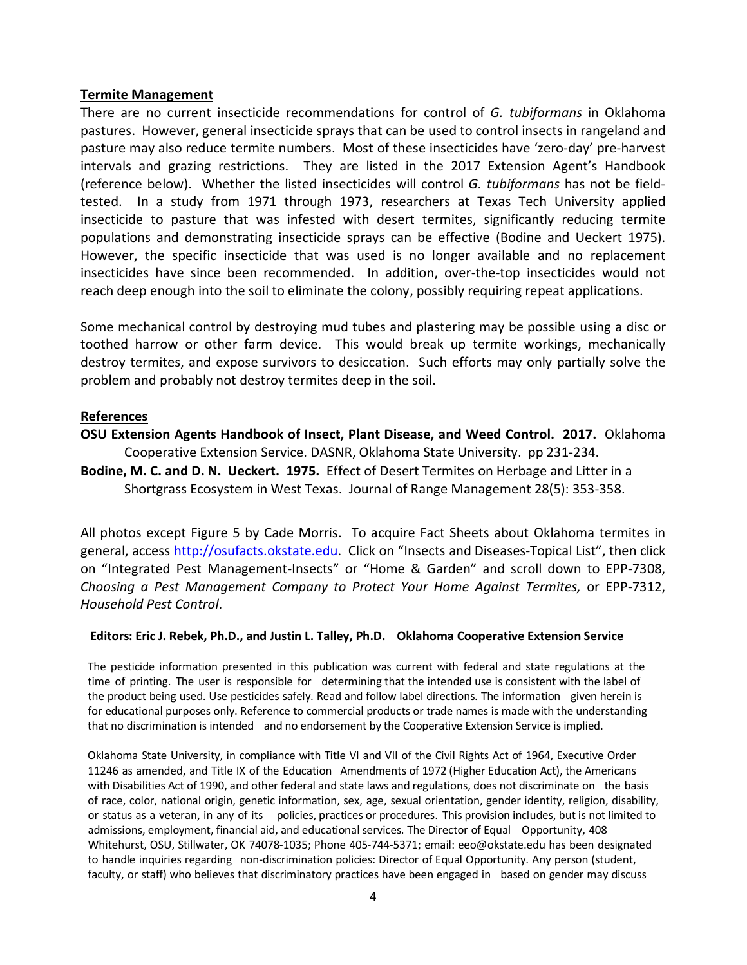## **Termite Management**

There are no current insecticide recommendations for control of *G. tubiformans* in Oklahoma pastures. However, general insecticide sprays that can be used to control insects in rangeland and pasture may also reduce termite numbers. Most of these insecticides have 'zero-day' pre-harvest intervals and grazing restrictions. They are listed in the 2017 Extension Agent's Handbook (reference below). Whether the listed insecticides will control *G. tubiformans* has not be fieldtested. In a study from 1971 through 1973, researchers at Texas Tech University applied insecticide to pasture that was infested with desert termites, significantly reducing termite populations and demonstrating insecticide sprays can be effective (Bodine and Ueckert 1975). However, the specific insecticide that was used is no longer available and no replacement insecticides have since been recommended. In addition, over-the-top insecticides would not reach deep enough into the soil to eliminate the colony, possibly requiring repeat applications.

Some mechanical control by destroying mud tubes and plastering may be possible using a disc or toothed harrow or other farm device. This would break up termite workings, mechanically destroy termites, and expose survivors to desiccation. Such efforts may only partially solve the problem and probably not destroy termites deep in the soil.

## **References**

- **OSU Extension Agents Handbook of Insect, Plant Disease, and Weed Control. 2017.** Oklahoma Cooperative Extension Service. DASNR, Oklahoma State University. pp 231-234.
- **Bodine, M. C. and D. N. Ueckert. 1975.** Effect of Desert Termites on Herbage and Litter in a Shortgrass Ecosystem in West Texas. Journal of Range Management 28(5): 353-358.

All photos except Figure 5 by Cade Morris. To acquire Fact Sheets about Oklahoma termites in general, access http://osufacts.okstate.edu. Click on "Insects and Diseases-Topical List", then click on "Integrated Pest Management-Insects" or "Home & Garden" and scroll down to EPP-7308, *Choosing a Pest Management Company to Protect Your Home Against Termites,* or EPP-7312, *Household Pest Control*.

## **Editors: Eric J. Rebek, Ph.D., and Justin L. Talley, Ph.D. Oklahoma Cooperative Extension Service**

The pesticide information presented in this publication was current with federal and state regulations at the time of printing. The user is responsible for determining that the intended use is consistent with the label of the product being used. Use pesticides safely. Read and follow label directions. The information given herein is for educational purposes only. Reference to commercial products or trade names is made with the understanding that no discrimination is intended and no endorsement by the Cooperative Extension Service is implied.

Oklahoma State University, in compliance with Title VI and VII of the Civil Rights Act of 1964, Executive Order 11246 as amended, and Title IX of the Education Amendments of 1972 (Higher Education Act), the Americans with Disabilities Act of 1990, and other federal and state laws and regulations, does not discriminate on the basis of race, color, national origin, genetic information, sex, age, sexual orientation, gender identity, religion, disability, or status as a veteran, in any of its policies, practices or procedures. This provision includes, but is not limited to admissions, employment, financial aid, and educational services. The Director of Equal Opportunity, 408 Whitehurst, OSU, Stillwater, OK 74078-1035; Phone 405-744-5371; email: [eeo@okstate.edu](mailto:eeo@okstate.edu) has been designated to handle inquiries regarding non-discrimination policies: Director of Equal Opportunity. Any person (student, faculty, or staff) who believes that discriminatory practices have been engaged in based on gender may discuss